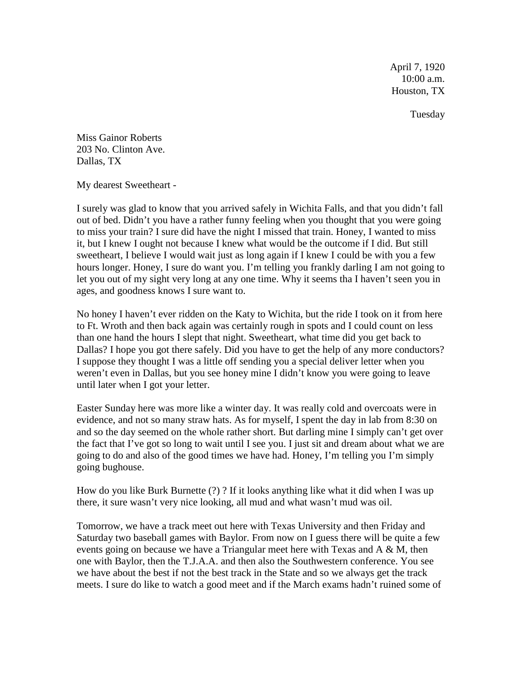April 7, 1920 10:00 a.m. Houston, TX

Tuesday

Miss Gainor Roberts 203 No. Clinton Ave. Dallas, TX

My dearest Sweetheart -

I surely was glad to know that you arrived safely in Wichita Falls, and that you didn't fall out of bed. Didn't you have a rather funny feeling when you thought that you were going to miss your train? I sure did have the night I missed that train. Honey, I wanted to miss it, but I knew I ought not because I knew what would be the outcome if I did. But still sweetheart, I believe I would wait just as long again if I knew I could be with you a few hours longer. Honey, I sure do want you. I'm telling you frankly darling I am not going to let you out of my sight very long at any one time. Why it seems tha I haven't seen you in ages, and goodness knows I sure want to.

No honey I haven't ever ridden on the Katy to Wichita, but the ride I took on it from here to Ft. Wroth and then back again was certainly rough in spots and I could count on less than one hand the hours I slept that night. Sweetheart, what time did you get back to Dallas? I hope you got there safely. Did you have to get the help of any more conductors? I suppose they thought I was a little off sending you a special deliver letter when you weren't even in Dallas, but you see honey mine I didn't know you were going to leave until later when I got your letter.

Easter Sunday here was more like a winter day. It was really cold and overcoats were in evidence, and not so many straw hats. As for myself, I spent the day in lab from 8:30 on and so the day seemed on the whole rather short. But darling mine I simply can't get over the fact that I've got so long to wait until I see you. I just sit and dream about what we are going to do and also of the good times we have had. Honey, I'm telling you I'm simply going bughouse.

How do you like Burk Burnette (?) ? If it looks anything like what it did when I was up there, it sure wasn't very nice looking, all mud and what wasn't mud was oil.

Tomorrow, we have a track meet out here with Texas University and then Friday and Saturday two baseball games with Baylor. From now on I guess there will be quite a few events going on because we have a Triangular meet here with Texas and A & M, then one with Baylor, then the T.J.A.A. and then also the Southwestern conference. You see we have about the best if not the best track in the State and so we always get the track meets. I sure do like to watch a good meet and if the March exams hadn't ruined some of